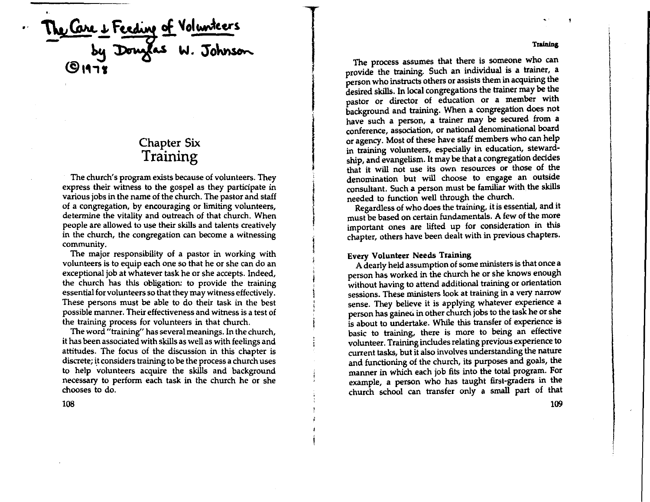Me Care & Feeding of Volunteers<br>by Donglas W. Johnson

# Chapter Six **Training**

The church's program exists because of volunteers. They express their witness to the gospel as they participate in various jobs in the name of the church. The pastor and staff of a congregation, by encouraging or limiting volunteers, determine the vitality and outreach of that church. When people are allowed to use their skills and talents creatively in the church, the congregation can become a witnessing community.

The major responsibility of a pastor in working with volunteers is to equip each one so that he or she can do an exceptional job at whatever task he or she accepts. Indeed, the church has this obligation: to provide the training essential for volunteers so that they may witness effectively. These persons must be able to do their task in the best possible manner. Their effectiveness and witness is a test of the training process for volunteers in that church.

The word "training" has several meanings. In the church, it has been associated with skills as well as with feelings and attitudes. The focus of the discussion in this chapter is discrete; it considers training to be the process a church uses to help volunteers acquire the skills and background necessary to perform each task in the church he or she chooses to do.

108

**Training** 

The process assumes that there is someone who can provide the training. Such an individual is a trainer, a person who instructs others or assists them in acquiring the desired skills. In local congregations the trainer may be the pastor or director of education or a member with background and training. When a congregation does not have such a person, a trainer may be secured from a conference, association, or national denominational board or agency. Most of these have staff members who can help in training volunteers, especially in education, stewardship, and evangelism. It may be that a congregation decides that it will not use its own resources or those of the denomination but will choose to engage an outside consultant. Such a person must be familiar with the skills needed to function well through the church.

Regardless of who does the training, it is essential, and it must be based on certain fundamentals. **A** few of the more important ones are lifted up for consideration in this chapter, others have been dealt with in previous chapters.

# **Every Volunteer Needs Training**

A dearly held assumption of some ministers is that once a person has worked in the church he or she knows enough without having to attend additional training or orientation sessions. These ministers look at training in a very narrow sense. They believe it is applying whatever experience a person has gained in other church jobs to the task he or she is about to undertake. While this transfer of experience is basic to training, there is more to being an effective volunteer. Training includes relating previous experience to current tasks, but it also involves understanding the nature and functioning of the church, its purposes and goals, the manner in which each job fits into the total program. For example, a person who has taught first-graders in the church school can transfer only a small part of that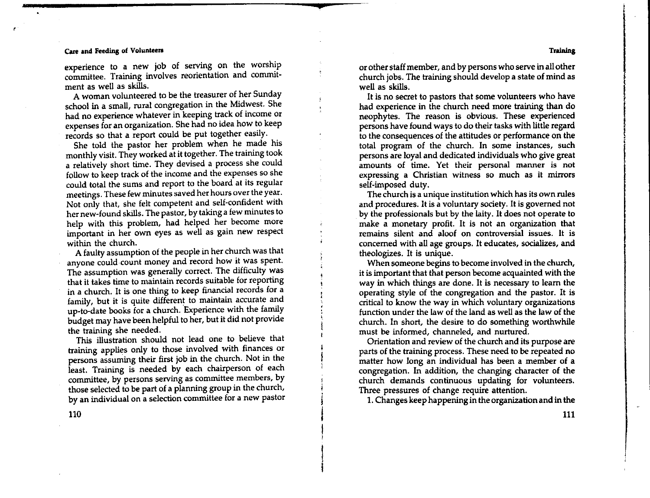#### **Care and** Feeding of Vohmteen

experience to a new job of serving on the worship committee. Training involves reorientation and comrmtment as well as skills.

A woman volunteered to be the treasurer of her Sunday school in a small, rural congregation in the Midwest. She had no experience whatever in keeping track of income or expenses for an organization. She had no idea how to keep records so that a report could be put together easily.

She told the pastor her problem when he made his monthly visit. They worked at it together. The training took a relatively short time. They devised a process she could follow to keep track of the income and the expenses so she could total the sums and report to the board at its regular meetings. These few minutes saved her hours over the year, Not only that, she felt competent and. self-confident with her new-found skills. The pastor, by taking a few minutes to help with this problem, had helped her become more important in her own eyes as well as gain new respect within the church.

A faulty assumption of the people in her church was that anyone could count money and record how it was spent. The assumption was generally correct. The difficulty was that it takes time to maintain records suitable for reporting in a church. It is one thing to keep financial records for a family, but it is quite different to maintain accurate and up-to-date books for a church. Experience with the family budget may have been helpful to her, but it did not provide the training she needed.

This illustration should not lead one to believe that training applies only to those involved with finances or persons assuming their first job in the church. Not in the least. Training is needed by each chairperson of each committee, by persons serving as committee members, by those selected to be part of a planning group in the church, by an individual on a selection committee for a new pastor

or other staff member, and by persons who serve in all other church jobs. The training should develop a state of mind as well as skills.

It is no secret to pastors that some volunteers who have had experience in the church need more training than do neophytes. The reason is obvious. These experienced persons have found ways to do their tasks with little regard to the consequences of the attitudes or performance on the total program of the church. In some instances, such persons are loyal and dedicated individuals who give great amounts of time. Yet their personal manner is not expressing a Christian witness so much as it mirrors self-imposed duty.

The church is a unique institution which has its own rules and procedures. It is a voluntary society. It is governed not by the professionals but by the laity. It does not operate to make a monetary profit. It is not an organization that remains silent and aloof on controversial issues. It is concerned with all age groups. It educates, socializes, and theologizes. It is unique.

When someone begins to become involved in the church, it is important that that person become acquainted with the way in which things are done. It is necessary to learn the operating style of the congregation and the pastor. It is critical to know the way in which voluntary organizations function under the law of the land as well as the law of the church. In short, the desire to do something worthwhile must be informed, channeled, and nurtured.

Orientation and review of the church and its purpose are parts of the training process. These need to be repeated no matter how long an individual has been a member of a congregation. In addition, the changing character of the church demands continuous updating for volunteers. Three pressures of change require attention.

1. Changes keep happening in the organization and in the

110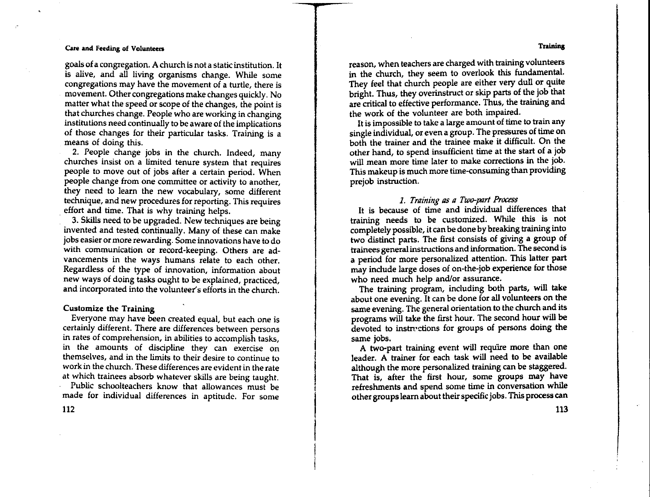#### **Training**

### **Care and Feeding of Volunteers**

goals of a congregation. A church is not a static institution. It is alive, and all living organisms change. While some congregations may have the movement of a turtle, there is movement. Other congregations make changes quickly. No matter what the speed or scope of the changes, the point is that churches change. People who are working in changing institutions need continually to be aware of the implications of those changes for their particular tasks. Training is a means of doing this.

2. People change jobs in the church. Indeed, many churches insist on a limited tenure system that requires people to move out of jobs after a certain period. When people change from one committee or activity to another, they need to learn the new vocabulary, some different technique, and new procedures for reporting. This requires effort and time. That is why training helps.

3. Skills need to be upgraded. New techniques are being invented and tested continually. Many of these can make jobs easier or more rewarding. Some innovations have to do with communication or record-keeping. Others are advancements in the ways humans relate to each other. Regardless of the type of innovation, information about new ways of doing tasks ought to be explained, practiced, and incorporated into the volunteer's efforts in the church.

#### **Customize the Training**

Everyone may have been created equal, but each one is certainly different. There are differences between persons in rates of comprehension, in abilities to accomplish tasks, in the amounts of discipline they can exercise on themselves, and in the limits to their desire to continue to work in the church. These differences are evident in the rate at which trainees absorb whatever skills are being taught.

Public schoolteachers know that allowances must be made for individual differences in aptitude. For some

112

reason, when teachers are charged with training volunteers in the church, they seem to overlook this fundamental. They feel that church people are either very dull or quite bright. Thus, they overinstruct or skip parts of the job that are critical to effective performance. Thus, the training and the work of the volunteer are both impaired.

It is impossible to take a large amount of time to train any single individual, or even a group. The pressures of time on both the trainer and the trainee make it difficult. On the other hand, to spend insufficient time at the start of a job will mean more time later to make corrections in the job. This makeup is much more time-consuming than providing prejob instruction.

# 1. Training as a Two-part Process

It is because of time and individual differences that training needs to be customized. While this is not completely possible, it can be done by breaking training into two distinct parts. The first consists of giving a group of trainees general instructions and information. The second is **a** period for more personalized attention. This latter part may include large doses of on-the-job experience for those who need much help and/or assurance.

The training program, including both parts, will take about one evening. It can be done for all volunteers on the same evening. The general orientation to the church and its programs will take the first hour. The second hour will be devoted to instructions for groups of persons doing the same jobs.

A two-part training event will require more than one leader. A trainer for each task will need to be available although the more personalized training can be staggered. That is, after the first hour, some groups may have refreshments and spend some time in conversation while other groups learn about their specific jobs. This process can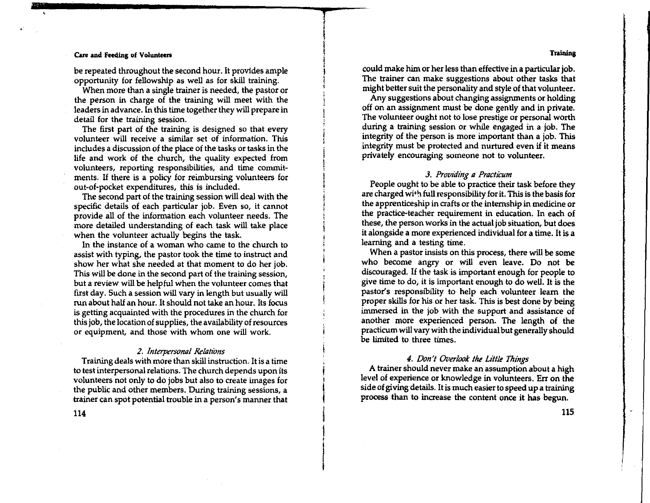#### **Training**

#### Cue **and Feecllng** of Volunteen

be repeated throughout the second hour. It provides ample opportunity for fellowship as well as for skill training.

When more than a single trainer is needed, the pastor or the person in charge of the training will meet with the leaders in advance. In this time together they will prepare in detail for the training session.

The first part of the training is designed so that every volunteer will receive a similar set of information. This includes a discussion of the place of the tasks or tasks in the life and work of the church, the quality expected from volunteers, reporting responsibilities, and time commit• ments. If there is a policy for reimbursing volunteers for out-of-pocket expenditures, this is included.

The second part of the training session will deal with the specific details of each particular job. Even so, it cannot provide all of the information each volunteer needs. The more detailed understanding of each task will take place when the volunteer actually begins the task.

In the instance of a woman who came to the church to assist with typing, the pastor took the time to instruct and show her what she needed at that moment to do her job. This will be done in the second part of the training session, but a review will be helpful when the volunteer comes that first day. Such a session will vary in length but usually will run about half an hour. It should not take an hour. Its focus is getting acquainted with the procedures in the church for this job, the location of supplies, the availability of resources or equipment, and those with whom one will work.

#### *2. Interpersonal Relations*

Training deals with more than skill instruction. It is a time to test interpersonal relations. The church depends upon its volunteers not only to do jobs but also to create images for the public and other members. During training sessions, a trainer can spot potential trouble in a person's manner that

114

could make him or her less than effective in a particular job. The trainer can make suggestions about other tasks that might better suit the personality and style of that volunteer.

Any suggestions about changing assignments or holding off on an assignment must be done gently and in private. The volunteer ought not to lose prestige or personal worth during a training session or while engaged in a job. The integrity of the person is more important than a job. This integrity must be protected and nurtured even if it means privately encouraging someone not to volunteer.

#### *3. Providing* 11 *Practicum*

People ought to be able to practice their task before they are charged wi•'t full responsibility for it. This is the basis for the apprenticeship in crafts or the internship in medicine or the practice-teacher requirement in education. In each of these, the person works in the actual job situation, but does it alongside a more experienced individual for a time. It is a learning and a testing time.

When a pastor insists on this process, there will be some who become angry or will even leave. Do not be discouraged. If the task is important enough for people to give time to do, it is important enough to do well. It is the pastor's responsibility to help each volunteer learn the proper skills for his or her task. This is best done by being immersed in the job with the support and assistance of another more experienced person. The length of the practicum will vary with the individual but generally should be limited to three times.

## *4. Don't Overlook the L1We Things*

A trainer should never make an assumption about a high level of experience or knowledge in volunteers. Err on the side of giving details. It is much easier to speed up a training process than to increase the content once it has begun.